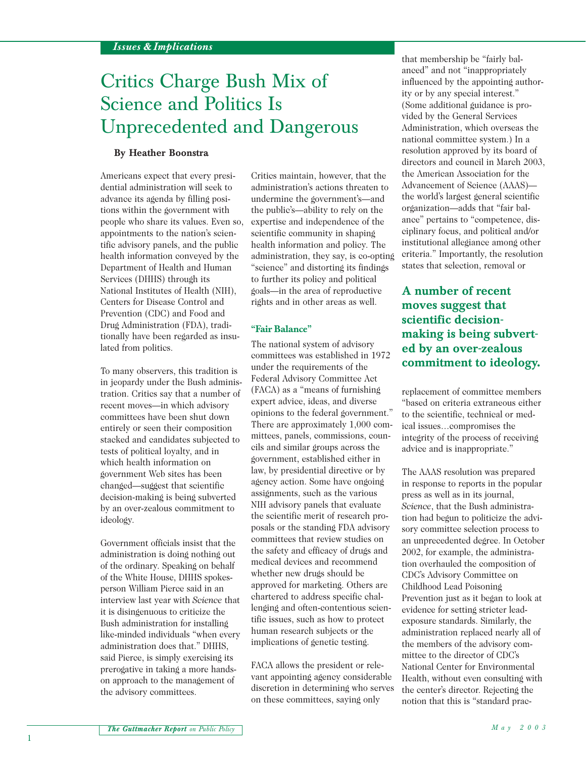# Critics Charge Bush Mix of Science and Politics Is Unprecedented and Dangerous

## **By Heather Boonstra**

Americans expect that every presidential administration will seek to advance its agenda by filling positions within the government with people who share its values. Even so, appointments to the nation's scientific advisory panels, and the public health information conveyed by the Department of Health and Human Services (DHHS) through its National Institutes of Health (NIH), Centers for Disease Control and Prevention (CDC) and Food and Drug Administration (FDA), traditionally have been regarded as insulated from politics.

To many observers, this tradition is in jeopardy under the Bush administration. Critics say that a number of recent moves—in which advisory committees have been shut down entirely or seen their composition stacked and candidates subjected to tests of political loyalty, and in which health information on government Web sites has been changed—suggest that scientific decision-making is being subverted by an over-zealous commitment to ideology.

Government officials insist that the administration is doing nothing out of the ordinary. Speaking on behalf of the White House, DHHS spokesperson William Pierce said in an interview last year with *Science* that it is disingenuous to criticize the Bush administration for installing like-minded individuals "when every administration does that." DHHS, said Pierce, is simply exercising its prerogative in taking a more handson approach to the management of the advisory committees.

Critics maintain, however, that the administration's actions threaten to undermine the government's—and the public's—ability to rely on the expertise and independence of the scientific community in shaping health information and policy. The administration, they say, is co-opting "science" and distorting its findings to further its policy and political goals—in the area of reproductive rights and in other areas as well.

#### **"Fair Balance"**

The national system of advisory committees was established in 1972 under the requirements of the Federal Advisory Committee Act (FACA) as a "means of furnishing expert advice, ideas, and diverse opinions to the federal government." There are approximately 1,000 committees, panels, commissions, councils and similar groups across the government, established either in law, by presidential directive or by agency action. Some have ongoing assignments, such as the various NIH advisory panels that evaluate the scientific merit of research proposals or the standing FDA advisory committees that review studies on the safety and efficacy of drugs and medical devices and recommend whether new drugs should be approved for marketing. Others are chartered to address specific challenging and often-contentious scientific issues, such as how to protect human research subjects or the implications of genetic testing.

FACA allows the president or relevant appointing agency considerable discretion in determining who serves on these committees, saying only

that membership be "fairly balanced" and not "inappropriately influenced by the appointing authority or by any special interest." (Some additional guidance is provided by the General Services Administration, which overseas the national committee system.) In a resolution approved by its board of directors and council in March 2003, the American Association for the Advancement of Science (AAAS) the world's largest general scientific organization—adds that "fair balance" pertains to "competence, disciplinary focus, and political and/or institutional allegiance among other criteria." Importantly, the resolution states that selection, removal or

**A number of recent moves suggest that scientific decisionmaking is being subverted by an over-zealous commitment to ideology.**

replacement of committee members "based on criteria extraneous either to the scientific, technical or medical issues…compromises the integrity of the process of receiving advice and is inappropriate."

The AAAS resolution was prepared in response to reports in the popular press as well as in its journal, *Science*, that the Bush administration had begun to politicize the advisory committee selection process to an unprecedented degree. In October 2002, for example, the administration overhauled the composition of CDC's Advisory Committee on Childhood Lead Poisoning Prevention just as it began to look at evidence for setting stricter leadexposure standards. Similarly, the administration replaced nearly all of the members of the advisory committee to the director of CDC's National Center for Environmental Health, without even consulting with the center's director. Rejecting the notion that this is "standard prac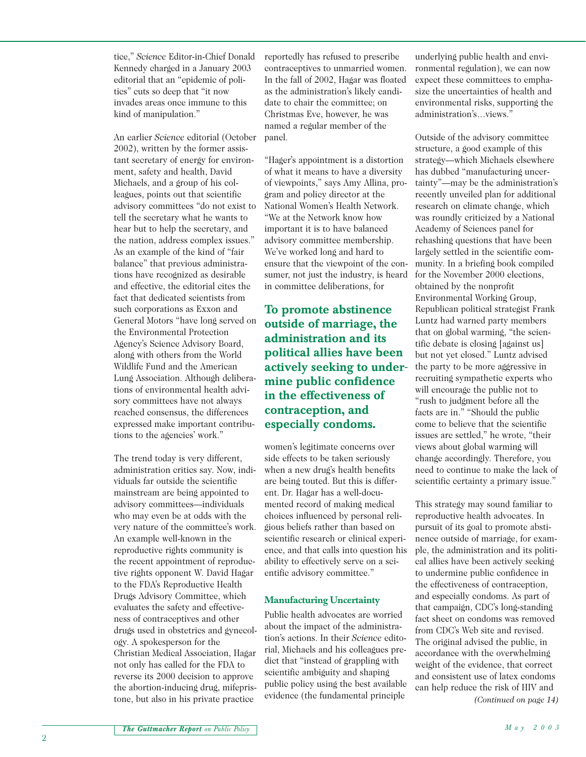tice," *Science* Editor-in-Chief Donald Kennedy charged in a January 2003 editorial that an "epidemic of politics" cuts so deep that "it now invades areas once immune to this kind of manipulation."

An earlier *Science* editorial (October 2002), written by the former assistant secretary of energy for environment, safety and health, David Michaels, and a group of his colleagues, points out that scientific advisory committees "do not exist to tell the secretary what he wants to hear but to help the secretary, and the nation, address complex issues." As an example of the kind of "fair balance" that previous administrations have recognized as desirable and effective, the editorial cites the fact that dedicated scientists from such corporations as Exxon and General Motors "have long served on the Environmental Protection Agency's Science Advisory Board, along with others from the World Wildlife Fund and the American Lung Association. Although deliberations of environmental health advisory committees have not always reached consensus, the differences expressed make important contributions to the agencies' work."

The trend today is very different, administration critics say. Now, individuals far outside the scientific mainstream are being appointed to advisory committees—individuals who may even be at odds with the very nature of the committee's work. An example well-known in the reproductive rights community is the recent appointment of reproductive rights opponent W. David Hagar to the FDA's Reproductive Health Drugs Advisory Committee, which evaluates the safety and effectiveness of contraceptives and other drugs used in obstetrics and gynecology. A spokesperson for the Christian Medical Association, Hagar not only has called for the FDA to reverse its 2000 decision to approve the abortion-inducing drug, mifepristone, but also in his private practice

reportedly has refused to prescribe contraceptives to unmarried women. In the fall of 2002, Hagar was floated as the administration's likely candidate to chair the committee; on Christmas Eve, however, he was named a regular member of the panel.

"Hager's appointment is a distortion of what it means to have a diversity of viewpoints," says Amy Allina, program and policy director at the National Women's Health Network. "We at the Network know how important it is to have balanced advisory committee membership. We've worked long and hard to ensure that the viewpoint of the consumer, not just the industry, is heard in committee deliberations, for

# **To promote abstinence outside of marriage, the administration and its political allies have been actively seeking to undermine public confidence in the effectiveness of contraception, and especially condoms.**

women's legitimate concerns over side effects to be taken seriously when a new drug's health benefits are being touted. But this is different. Dr. Hagar has a well-documented record of making medical choices influenced by personal religious beliefs rather than based on scientific research or clinical experience, and that calls into question his ability to effectively serve on a scientific advisory committee."

# **Manufacturing Uncertainty**

Public health advocates are worried about the impact of the administration's actions. In their *Science* editorial, Michaels and his colleagues predict that "instead of grappling with scientific ambiguity and shaping public policy using the best available evidence (the fundamental principle

underlying public health and environmental regulation), we can now expect these committees to emphasize the uncertainties of health and environmental risks, supporting the administration's…views."

Outside of the advisory committee structure, a good example of this strategy—which Michaels elsewhere has dubbed "manufacturing uncertainty"—may be the administration's recently unveiled plan for additional research on climate change, which was roundly criticized by a National Academy of Sciences panel for rehashing questions that have been largely settled in the scientific community. In a briefing book compiled for the November 2000 elections, obtained by the nonprofit Environmental Working Group, Republican political strategist Frank Luntz had warned party members that on global warming, "the scientific debate is closing [against us] but not yet closed." Luntz advised the party to be more aggressive in recruiting sympathetic experts who will encourage the public not to "rush to judgment before all the facts are in." "Should the public come to believe that the scientific issues are settled," he wrote, "their views about global warming will change accordingly. Therefore, you need to continue to make the lack of scientific certainty a primary issue."

This strategy may sound familiar to reproductive health advocates. In pursuit of its goal to promote abstinence outside of marriage, for example, the administration and its political allies have been actively seeking to undermine public confidence in the effectiveness of contraception, and especially condoms. As part of that campaign, CDC's long-standing fact sheet on condoms was removed from CDC's Web site and revised. The original advised the public, in accordance with the overwhelming weight of the evidence, that correct and consistent use of latex condoms can help reduce the risk of HIV and *(Continued on page 14)*